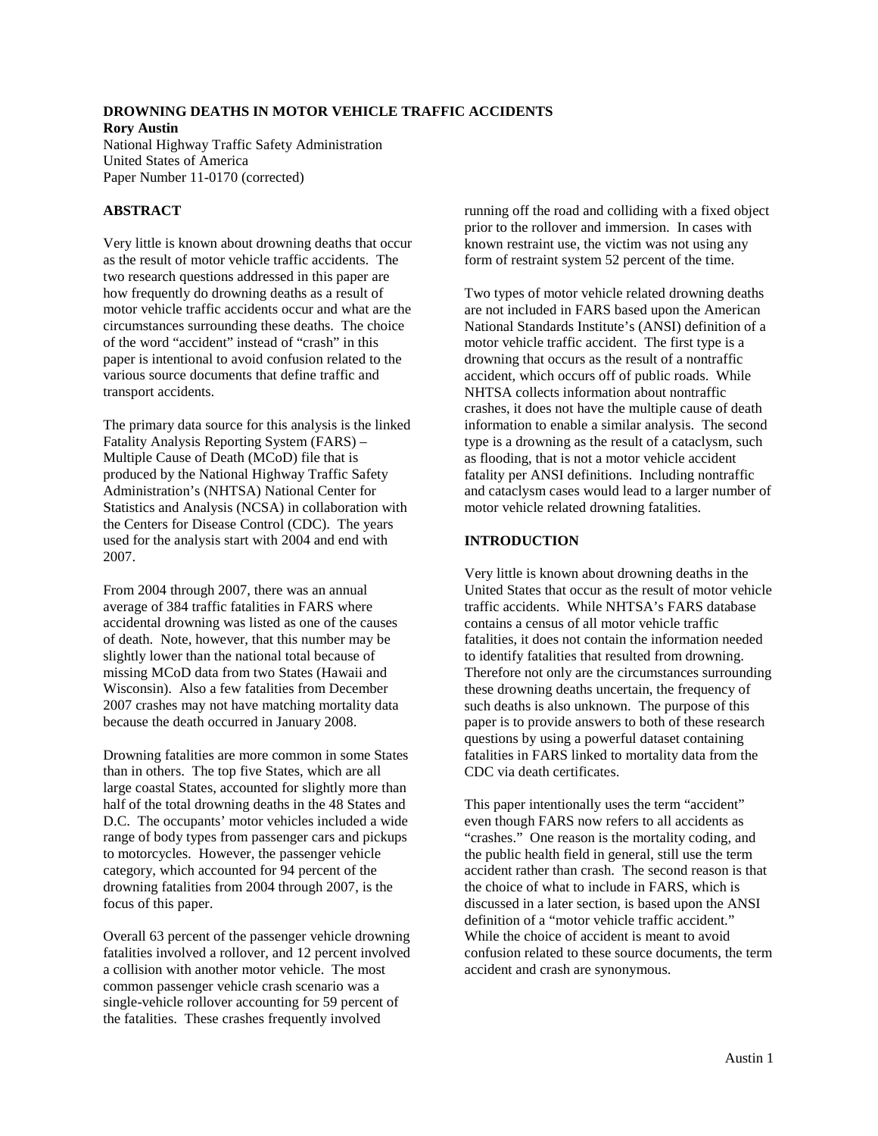# **DROWNING DEATHS IN MOTOR VEHICLE TRAFFIC ACCIDENTS**

**Rory Austin** National Highway Traffic Safety Administration United States of America Paper Number 11-0170 (corrected)

# **ABSTRACT**

Very little is known about drowning deaths that occur as the result of motor vehicle traffic accidents. The two research questions addressed in this paper are how frequently do drowning deaths as a result of motor vehicle traffic accidents occur and what are the circumstances surrounding these deaths. The choice of the word "accident" instead of "crash" in this paper is intentional to avoid confusion related to the various source documents that define traffic and transport accidents.

The primary data source for this analysis is the linked Fatality Analysis Reporting System (FARS) – Multiple Cause of Death (MCoD) file that is produced by the National Highway Traffic Safety Administration's (NHTSA) National Center for Statistics and Analysis (NCSA) in collaboration with the Centers for Disease Control (CDC). The years used for the analysis start with 2004 and end with 2007.

From 2004 through 2007, there was an annual average of 384 traffic fatalities in FARS where accidental drowning was listed as one of the causes of death. Note, however, that this number may be slightly lower than the national total because of missing MCoD data from two States (Hawaii and Wisconsin). Also a few fatalities from December 2007 crashes may not have matching mortality data because the death occurred in January 2008.

Drowning fatalities are more common in some States than in others. The top five States, which are all large coastal States, accounted for slightly more than half of the total drowning deaths in the 48 States and D.C. The occupants' motor vehicles included a wide range of body types from passenger cars and pickups to motorcycles. However, the passenger vehicle category, which accounted for 94 percent of the drowning fatalities from 2004 through 2007, is the focus of this paper.

Overall 63 percent of the passenger vehicle drowning fatalities involved a rollover, and 12 percent involved a collision with another motor vehicle. The most common passenger vehicle crash scenario was a single-vehicle rollover accounting for 59 percent of the fatalities. These crashes frequently involved

running off the road and colliding with a fixed object prior to the rollover and immersion. In cases with known restraint use, the victim was not using any form of restraint system 52 percent of the time.

Two types of motor vehicle related drowning deaths are not included in FARS based upon the American National Standards Institute's (ANSI) definition of a motor vehicle traffic accident. The first type is a drowning that occurs as the result of a nontraffic accident, which occurs off of public roads. While NHTSA collects information about nontraffic crashes, it does not have the multiple cause of death information to enable a similar analysis. The second type is a drowning as the result of a cataclysm, such as flooding, that is not a motor vehicle accident fatality per ANSI definitions. Including nontraffic and cataclysm cases would lead to a larger number of motor vehicle related drowning fatalities.

# **INTRODUCTION**

Very little is known about drowning deaths in the United States that occur as the result of motor vehicle traffic accidents. While NHTSA's FARS database contains a census of all motor vehicle traffic fatalities, it does not contain the information needed to identify fatalities that resulted from drowning. Therefore not only are the circumstances surrounding these drowning deaths uncertain, the frequency of such deaths is also unknown. The purpose of this paper is to provide answers to both of these research questions by using a powerful dataset containing fatalities in FARS linked to mortality data from the CDC via death certificates.

This paper intentionally uses the term "accident" even though FARS now refers to all accidents as "crashes." One reason is the mortality coding, and the public health field in general, still use the term accident rather than crash. The second reason is that the choice of what to include in FARS, which is discussed in a later section, is based upon the ANSI definition of a "motor vehicle traffic accident." While the choice of accident is meant to avoid confusion related to these source documents, the term accident and crash are synonymous.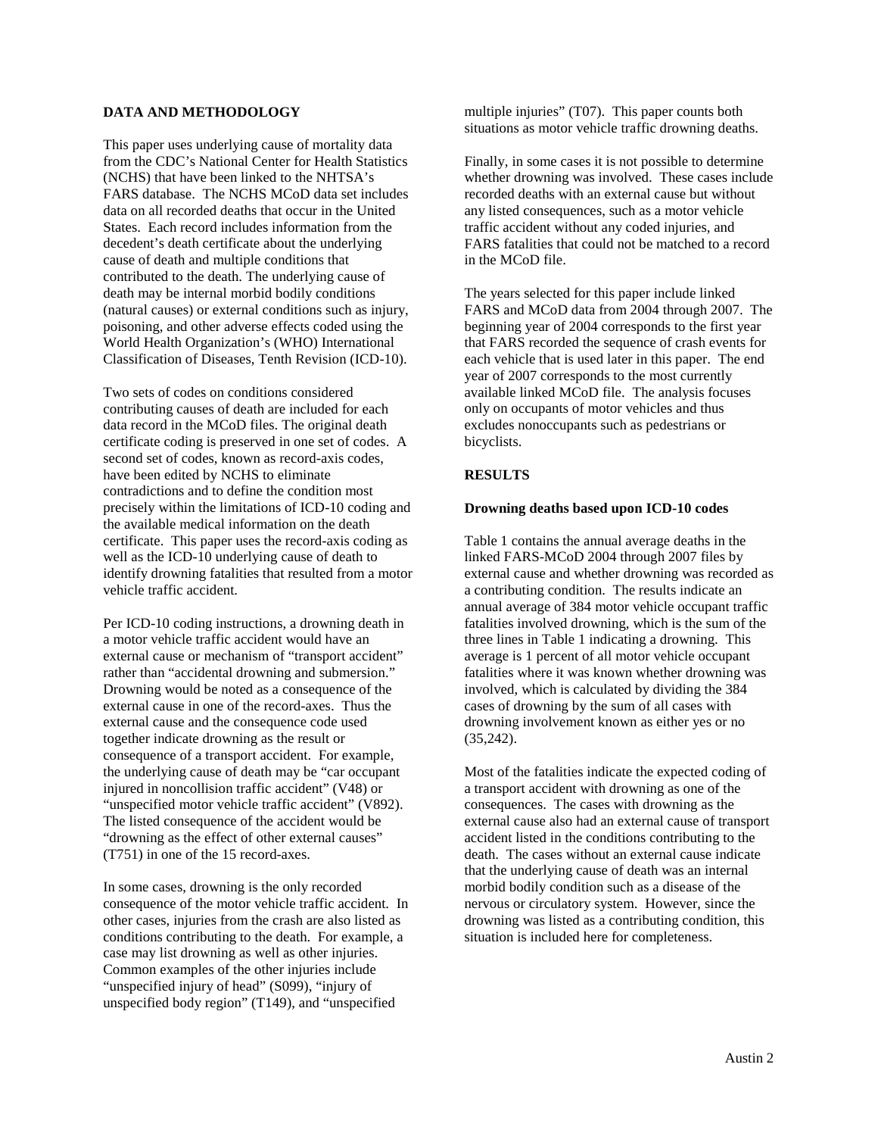# **DATA AND METHODOLOGY**

This paper uses underlying cause of mortality data from the CDC's National Center for Health Statistics (NCHS) that have been linked to the NHTSA's FARS database. The NCHS MCoD data set includes data on all recorded deaths that occur in the United States. Each record includes information from the decedent's death certificate about the underlying cause of death and multiple conditions that contributed to the death. The underlying cause of death may be internal morbid bodily conditions (natural causes) or external conditions such as injury, poisoning, and other adverse effects coded using the World Health Organization's (WHO) International Classification of Diseases, Tenth Revision (ICD-10).

Two sets of codes on conditions considered contributing causes of death are included for each data record in the MCoD files. The original death certificate coding is preserved in one set of codes. A second set of codes, known as record-axis codes, have been edited by NCHS to eliminate contradictions and to define the condition most precisely within the limitations of ICD-10 coding and the available medical information on the death certificate. This paper uses the record-axis coding as well as the ICD-10 underlying cause of death to identify drowning fatalities that resulted from a motor vehicle traffic accident.

Per ICD-10 coding instructions, a drowning death in a motor vehicle traffic accident would have an external cause or mechanism of "transport accident" rather than "accidental drowning and submersion." Drowning would be noted as a consequence of the external cause in one of the record-axes. Thus the external cause and the consequence code used together indicate drowning as the result or consequence of a transport accident. For example, the underlying cause of death may be "car occupant injured in noncollision traffic accident" (V48) or "unspecified motor vehicle traffic accident" (V892). The listed consequence of the accident would be "drowning as the effect of other external causes" (T751) in one of the 15 record-axes.

In some cases, drowning is the only recorded consequence of the motor vehicle traffic accident. In other cases, injuries from the crash are also listed as conditions contributing to the death. For example, a case may list drowning as well as other injuries. Common examples of the other injuries include "unspecified injury of head" (S099), "injury of unspecified body region" (T149), and "unspecified

multiple injuries" (T07). This paper counts both situations as motor vehicle traffic drowning deaths.

Finally, in some cases it is not possible to determine whether drowning was involved. These cases include recorded deaths with an external cause but without any listed consequences, such as a motor vehicle traffic accident without any coded injuries, and FARS fatalities that could not be matched to a record in the MCoD file.

The years selected for this paper include linked FARS and MCoD data from 2004 through 2007. The beginning year of 2004 corresponds to the first year that FARS recorded the sequence of crash events for each vehicle that is used later in this paper. The end year of 2007 corresponds to the most currently available linked MCoD file. The analysis focuses only on occupants of motor vehicles and thus excludes nonoccupants such as pedestrians or bicyclists.

## **RESULTS**

#### **Drowning deaths based upon ICD-10 codes**

Table 1 contains the annual average deaths in the linked FARS-MCoD 2004 through 2007 files by external cause and whether drowning was recorded as a contributing condition. The results indicate an annual average of 384 motor vehicle occupant traffic fatalities involved drowning, which is the sum of the three lines in Table 1 indicating a drowning. This average is 1 percent of all motor vehicle occupant fatalities where it was known whether drowning was involved, which is calculated by dividing the 384 cases of drowning by the sum of all cases with drowning involvement known as either yes or no (35,242).

Most of the fatalities indicate the expected coding of a transport accident with drowning as one of the consequences. The cases with drowning as the external cause also had an external cause of transport accident listed in the conditions contributing to the death. The cases without an external cause indicate that the underlying cause of death was an internal morbid bodily condition such as a disease of the nervous or circulatory system. However, since the drowning was listed as a contributing condition, this situation is included here for completeness.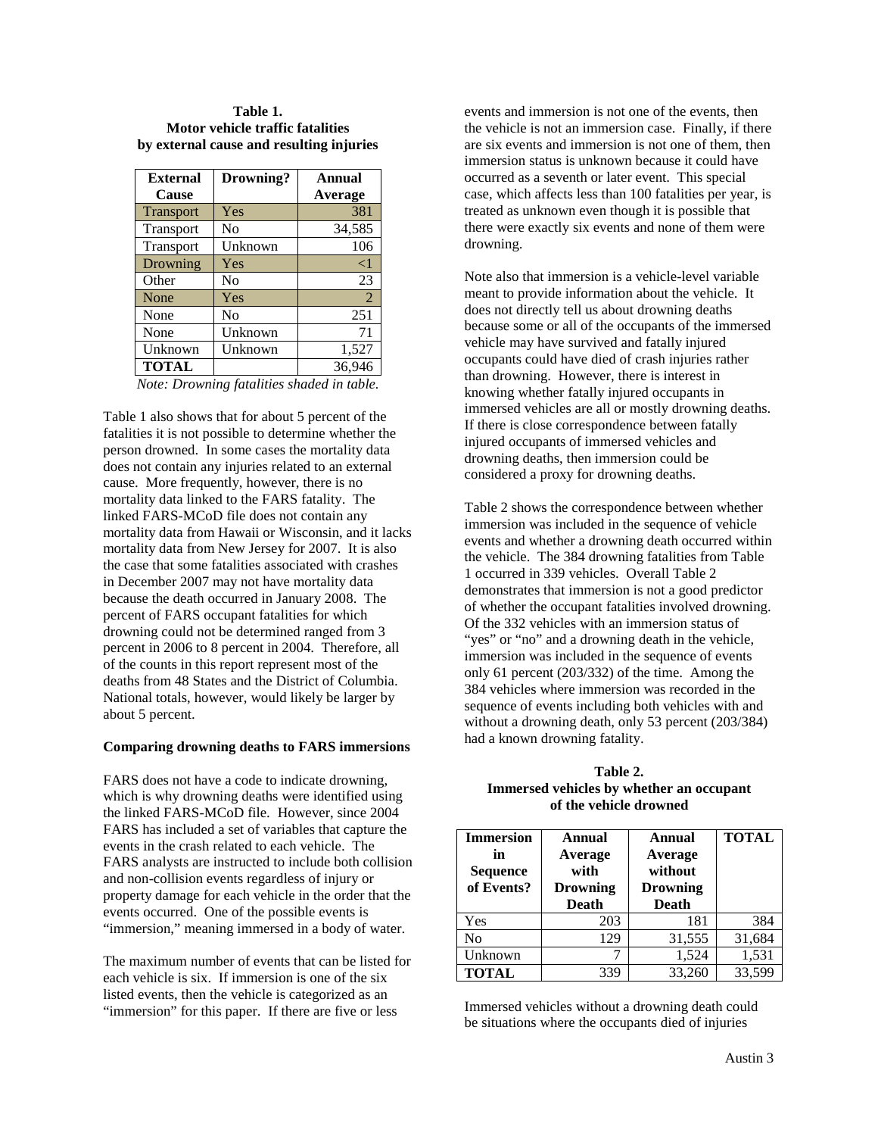### **Table 1. Motor vehicle traffic fatalities by external cause and resulting injuries**

| <b>External</b>  | Drowning?      | Annual   |
|------------------|----------------|----------|
| Cause            |                | Average  |
| <b>Transport</b> | Yes            | 381      |
| Transport        | No             | 34,585   |
| Transport        | Unknown        | 106      |
| Drowning         | Yes            | $\leq$ 1 |
| Other            | No             | 23       |
| None             | Yes            | 2        |
| None             | N <sub>0</sub> | 251      |
| None             | Unknown        | 71       |
| Unknown          | Unknown        | 1,527    |
| <b>TOTAL</b>     |                | 36,946   |

*Note: Drowning fatalities shaded in table.*

Table 1 also shows that for about 5 percent of the fatalities it is not possible to determine whether the person drowned. In some cases the mortality data does not contain any injuries related to an external cause. More frequently, however, there is no mortality data linked to the FARS fatality. The linked FARS-MCoD file does not contain any mortality data from Hawaii or Wisconsin, and it lacks mortality data from New Jersey for 2007. It is also the case that some fatalities associated with crashes in December 2007 may not have mortality data because the death occurred in January 2008. The percent of FARS occupant fatalities for which drowning could not be determined ranged from 3 percent in 2006 to 8 percent in 2004. Therefore, all of the counts in this report represent most of the deaths from 48 States and the District of Columbia. National totals, however, would likely be larger by about 5 percent.

#### **Comparing drowning deaths to FARS immersions**

FARS does not have a code to indicate drowning, which is why drowning deaths were identified using the linked FARS-MCoD file. However, since 2004 FARS has included a set of variables that capture the events in the crash related to each vehicle. The FARS analysts are instructed to include both collision and non-collision events regardless of injury or property damage for each vehicle in the order that the events occurred. One of the possible events is "immersion," meaning immersed in a body of water.

The maximum number of events that can be listed for each vehicle is six. If immersion is one of the six listed events, then the vehicle is categorized as an "immersion" for this paper. If there are five or less

events and immersion is not one of the events, then the vehicle is not an immersion case. Finally, if there are six events and immersion is not one of them, then immersion status is unknown because it could have occurred as a seventh or later event. This special case, which affects less than 100 fatalities per year, is treated as unknown even though it is possible that there were exactly six events and none of them were drowning.

Note also that immersion is a vehicle-level variable meant to provide information about the vehicle. It does not directly tell us about drowning deaths because some or all of the occupants of the immersed vehicle may have survived and fatally injured occupants could have died of crash injuries rather than drowning. However, there is interest in knowing whether fatally injured occupants in immersed vehicles are all or mostly drowning deaths. If there is close correspondence between fatally injured occupants of immersed vehicles and drowning deaths, then immersion could be considered a proxy for drowning deaths.

Table 2 shows the correspondence between whether immersion was included in the sequence of vehicle events and whether a drowning death occurred within the vehicle. The 384 drowning fatalities from Table 1 occurred in 339 vehicles. Overall Table 2 demonstrates that immersion is not a good predictor of whether the occupant fatalities involved drowning. Of the 332 vehicles with an immersion status of "yes" or "no" and a drowning death in the vehicle, immersion was included in the sequence of events only 61 percent (203/332) of the time. Among the 384 vehicles where immersion was recorded in the sequence of events including both vehicles with and without a drowning death, only 53 percent (203/384) had a known drowning fatality.

# **Table 2. Immersed vehicles by whether an occupant of the vehicle drowned**

| <b>Immersion</b><br>in<br><b>Sequence</b><br>of Events? | Annual<br>Average<br>with<br><b>Drowning</b><br><b>Death</b> | Annual<br>Average<br>without<br><b>Drowning</b><br><b>Death</b> | <b>TOTAL</b> |
|---------------------------------------------------------|--------------------------------------------------------------|-----------------------------------------------------------------|--------------|
| Yes                                                     | 203                                                          | 181                                                             | 384          |
| N <sub>o</sub>                                          | 129                                                          | 31,555                                                          | 31,684       |
| Unknown                                                 |                                                              | 1,524                                                           | 1,531        |
| <b>TOTAL</b>                                            | 339                                                          | 33,260                                                          | 33,599       |

Immersed vehicles without a drowning death could be situations where the occupants died of injuries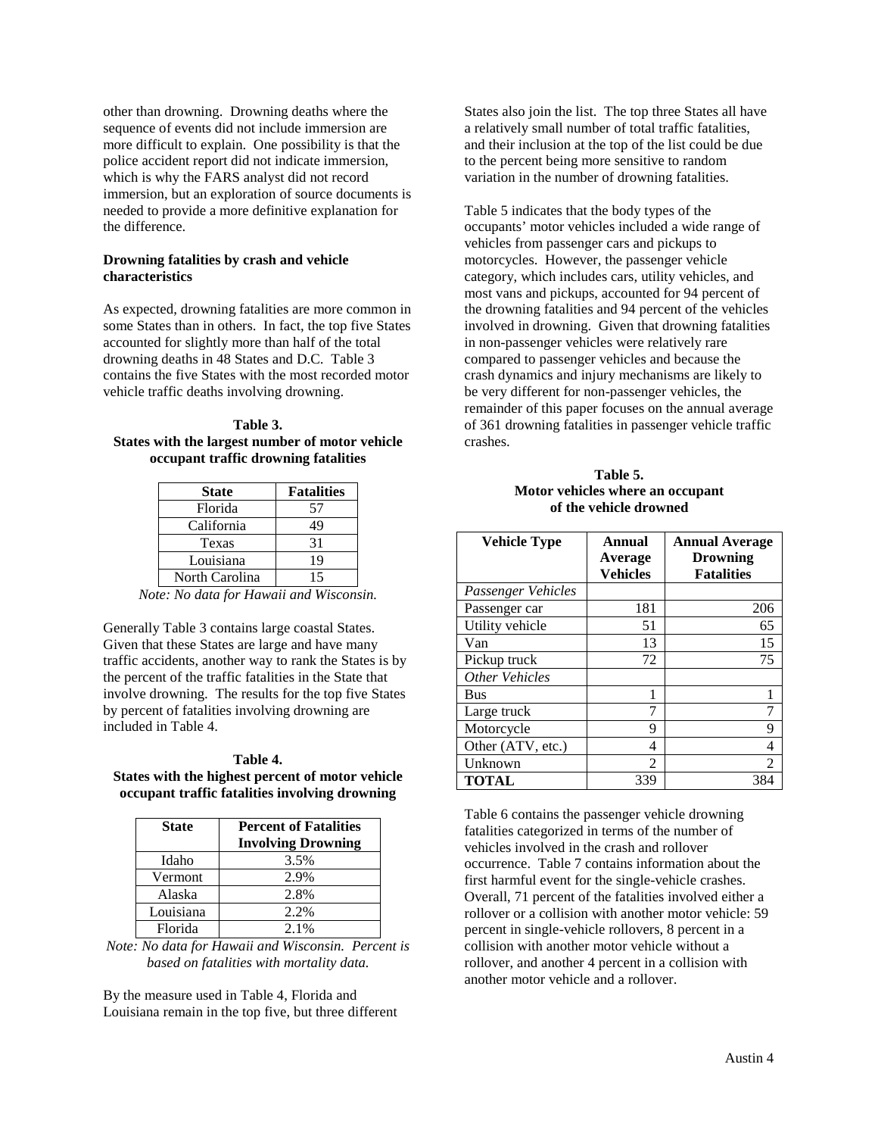other than drowning. Drowning deaths where the sequence of events did not include immersion are more difficult to explain. One possibility is that the police accident report did not indicate immersion, which is why the FARS analyst did not record immersion, but an exploration of source documents is needed to provide a more definitive explanation for the difference.

### **Drowning fatalities by crash and vehicle characteristics**

As expected, drowning fatalities are more common in some States than in others. In fact, the top five States accounted for slightly more than half of the total drowning deaths in 48 States and D.C. Table 3 contains the five States with the most recorded motor vehicle traffic deaths involving drowning.

### **Table 3. States with the largest number of motor vehicle occupant traffic drowning fatalities**

| <b>State</b>   | <b>Fatalities</b> |
|----------------|-------------------|
| Florida        | 57                |
| California     | 49                |
| Texas          | 31                |
| Louisiana      | 19                |
| North Carolina | 15                |

*Note: No data for Hawaii and Wisconsin.*

Generally Table 3 contains large coastal States. Given that these States are large and have many traffic accidents, another way to rank the States is by the percent of the traffic fatalities in the State that involve drowning. The results for the top five States by percent of fatalities involving drowning are included in Table 4.

## **Table 4. States with the highest percent of motor vehicle occupant traffic fatalities involving drowning**

| <b>State</b> | <b>Percent of Fatalities</b> |  |
|--------------|------------------------------|--|
|              | <b>Involving Drowning</b>    |  |
| Idaho        | 3.5%                         |  |
| Vermont      | 2.9%                         |  |
| Alaska       | 2.8%                         |  |
| Louisiana    | 2.2%                         |  |
| Florida      | $2.1\%$                      |  |

*Note: No data for Hawaii and Wisconsin. Percent is based on fatalities with mortality data.*

By the measure used in Table 4, Florida and Louisiana remain in the top five, but three different States also join the list. The top three States all have a relatively small number of total traffic fatalities, and their inclusion at the top of the list could be due to the percent being more sensitive to random variation in the number of drowning fatalities.

Table 5 indicates that the body types of the occupants' motor vehicles included a wide range of vehicles from passenger cars and pickups to motorcycles. However, the passenger vehicle category, which includes cars, utility vehicles, and most vans and pickups, accounted for 94 percent of the drowning fatalities and 94 percent of the vehicles involved in drowning. Given that drowning fatalities in non-passenger vehicles were relatively rare compared to passenger vehicles and because the crash dynamics and injury mechanisms are likely to be very different for non-passenger vehicles, the remainder of this paper focuses on the annual average of 361 drowning fatalities in passenger vehicle traffic crashes.

**Table 5. Motor vehicles where an occupant of the vehicle drowned**

| <b>Vehicle Type</b> | Annual<br>Average<br><b>Vehicles</b> | <b>Annual Average</b><br><b>Drowning</b><br><b>Fatalities</b> |
|---------------------|--------------------------------------|---------------------------------------------------------------|
| Passenger Vehicles  |                                      |                                                               |
| Passenger car       | 181                                  | 206                                                           |
| Utility vehicle     | 51                                   | 65                                                            |
| Van                 | 13                                   | 15                                                            |
| Pickup truck        | 72                                   | 75                                                            |
| Other Vehicles      |                                      |                                                               |
| <b>Bus</b>          |                                      |                                                               |
| Large truck         |                                      | 7                                                             |
| Motorcycle          | 9                                    | 9                                                             |
| Other (ATV, etc.)   | 4                                    | 4                                                             |
| Unknown             | $\mathfrak{D}$                       | 2                                                             |
| <b>TOTAL</b>        | 339                                  | 384                                                           |

Table 6 contains the passenger vehicle drowning fatalities categorized in terms of the number of vehicles involved in the crash and rollover occurrence. Table 7 contains information about the first harmful event for the single-vehicle crashes. Overall, 71 percent of the fatalities involved either a rollover or a collision with another motor vehicle: 59 percent in single-vehicle rollovers, 8 percent in a collision with another motor vehicle without a rollover, and another 4 percent in a collision with another motor vehicle and a rollover.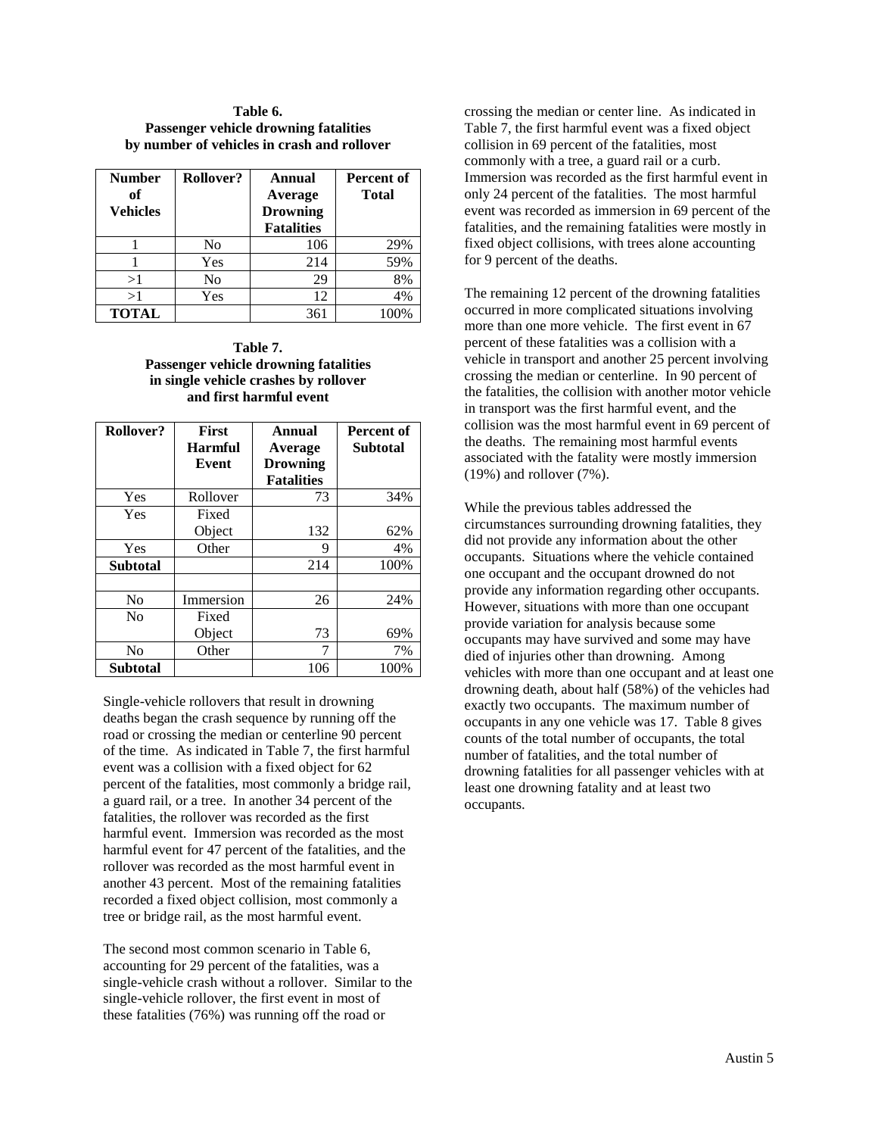### **Table 6. Passenger vehicle drowning fatalities by number of vehicles in crash and rollover**

| <b>Number</b><br>оf<br><b>Vehicles</b> | Rollover?      | Annual<br>Average<br><b>Drowning</b><br><b>Fatalities</b> | <b>Percent of</b><br><b>Total</b> |
|----------------------------------------|----------------|-----------------------------------------------------------|-----------------------------------|
|                                        | No             | 106                                                       | 29%                               |
|                                        | Yes            | 214                                                       | 59%                               |
| >1                                     | N <sub>0</sub> | 29                                                        | 8%                                |
| >1                                     | Yes            | 12                                                        | 4%                                |
| <b>TOTAL</b>                           |                | 361                                                       | 100%                              |

## **Table 7. Passenger vehicle drowning fatalities in single vehicle crashes by rollover and first harmful event**

| <b>Rollover?</b> | <b>First</b>   | Annual            | Percent of      |
|------------------|----------------|-------------------|-----------------|
|                  | <b>Harmful</b> | Average           | <b>Subtotal</b> |
|                  | Event          | <b>Drowning</b>   |                 |
|                  |                | <b>Fatalities</b> |                 |
| Yes              | Rollover       | 73                | 34%             |
| Yes              | Fixed          |                   |                 |
|                  | Object         | 132               | 62%             |
| Yes              | Other          | 9                 | 4%              |
| <b>Subtotal</b>  |                | 214               | 100%            |
|                  |                |                   |                 |
| No               | Immersion      | 26                | 24%             |
| N <sub>0</sub>   | Fixed          |                   |                 |
|                  | Object         | 73                | 69%             |
| No               | Other          |                   | 7%              |
| <b>Subtotal</b>  |                | 106               | 100%            |

Single-vehicle rollovers that result in drowning deaths began the crash sequence by running off the road or crossing the median or centerline 90 percent of the time. As indicated in Table 7, the first harmful event was a collision with a fixed object for 62 percent of the fatalities, most commonly a bridge rail, a guard rail, or a tree. In another 34 percent of the fatalities, the rollover was recorded as the first harmful event. Immersion was recorded as the most harmful event for 47 percent of the fatalities, and the rollover was recorded as the most harmful event in another 43 percent. Most of the remaining fatalities recorded a fixed object collision, most commonly a tree or bridge rail, as the most harmful event.

The second most common scenario in Table 6, accounting for 29 percent of the fatalities, was a single-vehicle crash without a rollover. Similar to the single-vehicle rollover, the first event in most of these fatalities (76%) was running off the road or

crossing the median or center line. As indicated in Table 7, the first harmful event was a fixed object collision in 69 percent of the fatalities, most commonly with a tree, a guard rail or a curb. Immersion was recorded as the first harmful event in only 24 percent of the fatalities. The most harmful event was recorded as immersion in 69 percent of the fatalities, and the remaining fatalities were mostly in fixed object collisions, with trees alone accounting for 9 percent of the deaths.

The remaining 12 percent of the drowning fatalities occurred in more complicated situations involving more than one more vehicle. The first event in 67 percent of these fatalities was a collision with a vehicle in transport and another 25 percent involving crossing the median or centerline. In 90 percent of the fatalities, the collision with another motor vehicle in transport was the first harmful event, and the collision was the most harmful event in 69 percent of the deaths. The remaining most harmful events associated with the fatality were mostly immersion (19%) and rollover (7%).

While the previous tables addressed the circumstances surrounding drowning fatalities, they did not provide any information about the other occupants. Situations where the vehicle contained one occupant and the occupant drowned do not provide any information regarding other occupants. However, situations with more than one occupant provide variation for analysis because some occupants may have survived and some may have died of injuries other than drowning. Among vehicles with more than one occupant and at least one drowning death, about half (58%) of the vehicles had exactly two occupants. The maximum number of occupants in any one vehicle was 17. Table 8 gives counts of the total number of occupants, the total number of fatalities, and the total number of drowning fatalities for all passenger vehicles with at least one drowning fatality and at least two occupants.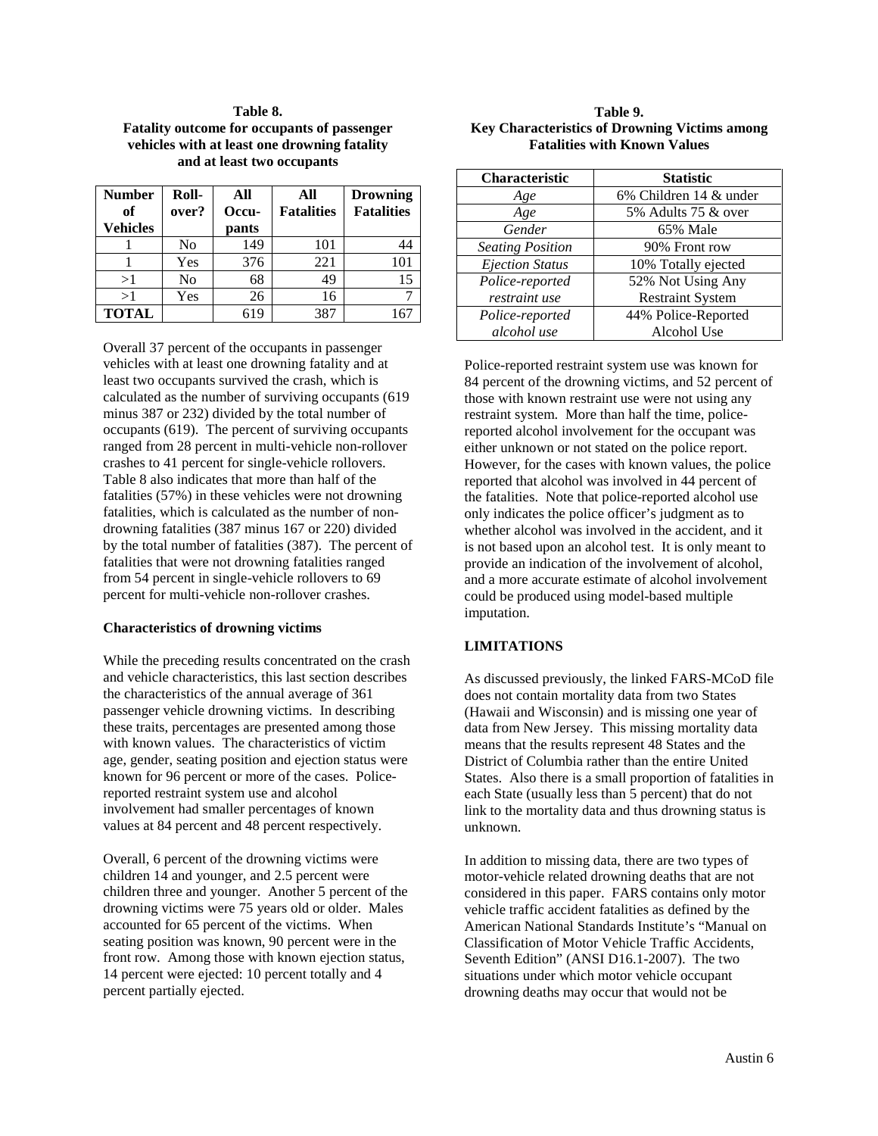# **Table 8. Fatality outcome for occupants of passenger vehicles with at least one drowning fatality and at least two occupants**

| <b>Number</b>         | Roll- | All            | All               | <b>Drowning</b>   |
|-----------------------|-------|----------------|-------------------|-------------------|
| оf<br><b>Vehicles</b> | over? | Occu-<br>pants | <b>Fatalities</b> | <b>Fatalities</b> |
|                       | No    | 149            | 101               | 44                |
|                       | Yes   | 376            | 221               | 101               |
| >1                    | No    | 68             | 49                | 15                |
| >1                    | Yes   | 26             | 16                |                   |
| <b>TOTAL</b>          |       | 619            | 387               |                   |

Overall 37 percent of the occupants in passenger vehicles with at least one drowning fatality and at least two occupants survived the crash, which is calculated as the number of surviving occupants (619 minus 387 or 232) divided by the total number of occupants (619). The percent of surviving occupants ranged from 28 percent in multi-vehicle non-rollover crashes to 41 percent for single-vehicle rollovers. Table 8 also indicates that more than half of the fatalities (57%) in these vehicles were not drowning fatalities, which is calculated as the number of nondrowning fatalities (387 minus 167 or 220) divided by the total number of fatalities (387). The percent of fatalities that were not drowning fatalities ranged from 54 percent in single-vehicle rollovers to 69 percent for multi-vehicle non-rollover crashes.

#### **Characteristics of drowning victims**

While the preceding results concentrated on the crash and vehicle characteristics, this last section describes the characteristics of the annual average of 361 passenger vehicle drowning victims. In describing these traits, percentages are presented among those with known values. The characteristics of victim age, gender, seating position and ejection status were known for 96 percent or more of the cases. Policereported restraint system use and alcohol involvement had smaller percentages of known values at 84 percent and 48 percent respectively.

Overall, 6 percent of the drowning victims were children 14 and younger, and 2.5 percent were children three and younger. Another 5 percent of the drowning victims were 75 years old or older. Males accounted for 65 percent of the victims. When seating position was known, 90 percent were in the front row. Among those with known ejection status, 14 percent were ejected: 10 percent totally and 4 percent partially ejected.

# **Table 9. Key Characteristics of Drowning Victims among Fatalities with Known Values**

| <b>Characteristic</b>   | <b>Statistic</b>        |
|-------------------------|-------------------------|
| Age                     | 6% Children 14 & under  |
| Age                     | 5% Adults 75 & over     |
| Gender                  | 65% Male                |
| <b>Seating Position</b> | 90% Front row           |
| <b>Ejection Status</b>  | 10% Totally ejected     |
| Police-reported         | 52% Not Using Any       |
| restraint use           | <b>Restraint System</b> |
| Police-reported         | 44% Police-Reported     |
| alcohol use             | Alcohol Use             |

Police-reported restraint system use was known for 84 percent of the drowning victims, and 52 percent of those with known restraint use were not using any restraint system. More than half the time, policereported alcohol involvement for the occupant was either unknown or not stated on the police report. However, for the cases with known values, the police reported that alcohol was involved in 44 percent of the fatalities. Note that police-reported alcohol use only indicates the police officer's judgment as to whether alcohol was involved in the accident, and it is not based upon an alcohol test. It is only meant to provide an indication of the involvement of alcohol, and a more accurate estimate of alcohol involvement could be produced using model-based multiple imputation.

# **LIMITATIONS**

As discussed previously, the linked FARS-MCoD file does not contain mortality data from two States (Hawaii and Wisconsin) and is missing one year of data from New Jersey. This missing mortality data means that the results represent 48 States and the District of Columbia rather than the entire United States. Also there is a small proportion of fatalities in each State (usually less than 5 percent) that do not link to the mortality data and thus drowning status is unknown.

In addition to missing data, there are two types of motor-vehicle related drowning deaths that are not considered in this paper. FARS contains only motor vehicle traffic accident fatalities as defined by the American National Standards Institute's "Manual on Classification of Motor Vehicle Traffic Accidents, Seventh Edition" (ANSI D16.1-2007). The two situations under which motor vehicle occupant drowning deaths may occur that would not be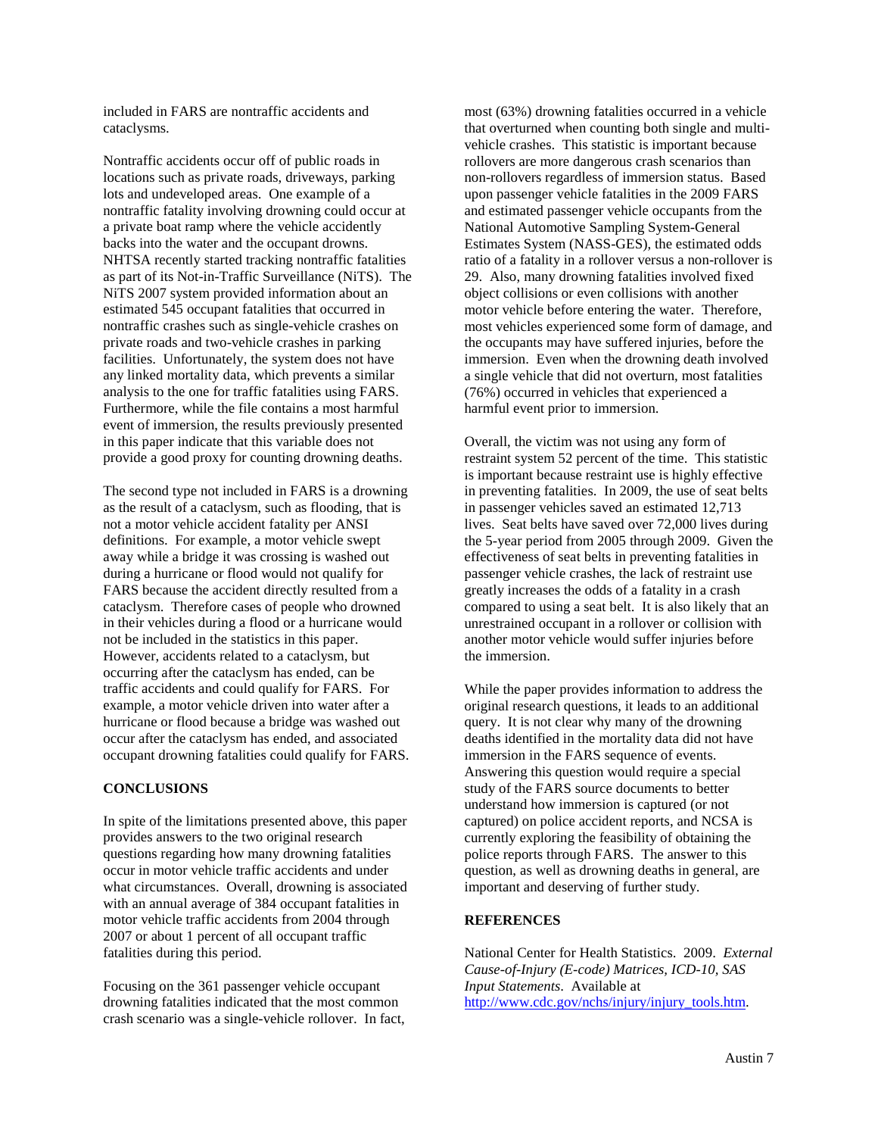included in FARS are nontraffic accidents and cataclysms.

Nontraffic accidents occur off of public roads in locations such as private roads, driveways, parking lots and undeveloped areas. One example of a nontraffic fatality involving drowning could occur at a private boat ramp where the vehicle accidently backs into the water and the occupant drowns. NHTSA recently started tracking nontraffic fatalities as part of its Not-in-Traffic Surveillance (NiTS). The NiTS 2007 system provided information about an estimated 545 occupant fatalities that occurred in nontraffic crashes such as single-vehicle crashes on private roads and two-vehicle crashes in parking facilities. Unfortunately, the system does not have any linked mortality data, which prevents a similar analysis to the one for traffic fatalities using FARS. Furthermore, while the file contains a most harmful event of immersion, the results previously presented in this paper indicate that this variable does not provide a good proxy for counting drowning deaths.

The second type not included in FARS is a drowning as the result of a cataclysm, such as flooding, that is not a motor vehicle accident fatality per ANSI definitions. For example, a motor vehicle swept away while a bridge it was crossing is washed out during a hurricane or flood would not qualify for FARS because the accident directly resulted from a cataclysm. Therefore cases of people who drowned in their vehicles during a flood or a hurricane would not be included in the statistics in this paper. However, accidents related to a cataclysm, but occurring after the cataclysm has ended, can be traffic accidents and could qualify for FARS. For example, a motor vehicle driven into water after a hurricane or flood because a bridge was washed out occur after the cataclysm has ended, and associated occupant drowning fatalities could qualify for FARS.

#### **CONCLUSIONS**

In spite of the limitations presented above, this paper provides answers to the two original research questions regarding how many drowning fatalities occur in motor vehicle traffic accidents and under what circumstances. Overall, drowning is associated with an annual average of 384 occupant fatalities in motor vehicle traffic accidents from 2004 through 2007 or about 1 percent of all occupant traffic fatalities during this period.

Focusing on the 361 passenger vehicle occupant drowning fatalities indicated that the most common crash scenario was a single-vehicle rollover. In fact,

most (63%) drowning fatalities occurred in a vehicle that overturned when counting both single and multivehicle crashes. This statistic is important because rollovers are more dangerous crash scenarios than non-rollovers regardless of immersion status. Based upon passenger vehicle fatalities in the 2009 FARS and estimated passenger vehicle occupants from the National Automotive Sampling System-General Estimates System (NASS-GES), the estimated odds ratio of a fatality in a rollover versus a non-rollover is 29. Also, many drowning fatalities involved fixed object collisions or even collisions with another motor vehicle before entering the water. Therefore, most vehicles experienced some form of damage, and the occupants may have suffered injuries, before the immersion. Even when the drowning death involved a single vehicle that did not overturn, most fatalities (76%) occurred in vehicles that experienced a harmful event prior to immersion.

Overall, the victim was not using any form of restraint system 52 percent of the time. This statistic is important because restraint use is highly effective in preventing fatalities. In 2009, the use of seat belts in passenger vehicles saved an estimated 12,713 lives. Seat belts have saved over 72,000 lives during the 5-year period from 2005 through 2009. Given the effectiveness of seat belts in preventing fatalities in passenger vehicle crashes, the lack of restraint use greatly increases the odds of a fatality in a crash compared to using a seat belt. It is also likely that an unrestrained occupant in a rollover or collision with another motor vehicle would suffer injuries before the immersion.

While the paper provides information to address the original research questions, it leads to an additional query. It is not clear why many of the drowning deaths identified in the mortality data did not have immersion in the FARS sequence of events. Answering this question would require a special study of the FARS source documents to better understand how immersion is captured (or not captured) on police accident reports, and NCSA is currently exploring the feasibility of obtaining the police reports through FARS. The answer to this question, as well as drowning deaths in general, are important and deserving of further study.

#### **REFERENCES**

National Center for Health Statistics. 2009. *External Cause-of-Injury (E-code) Matrices, ICD-10, SAS Input Statements*. Available at [http://www.cdc.gov/nchs/injury/injury\\_tools.htm.](http://www.cdc.gov/nchs/injury/injury_tools.htm)